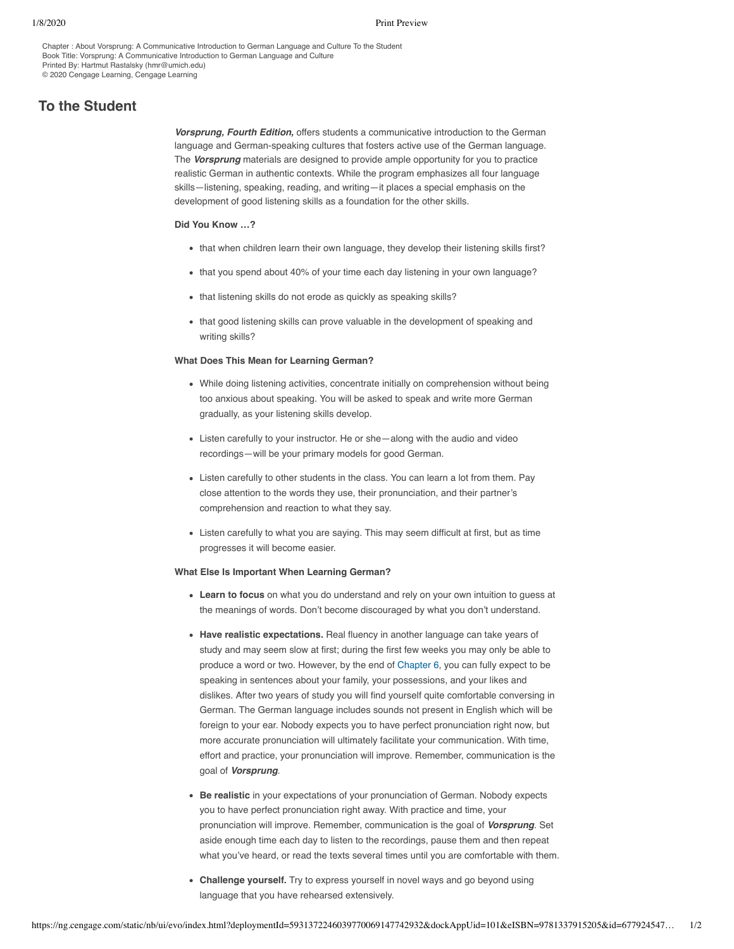Chapter : About Vorsprung: A Communicative Introduction to German Language and Culture To the Student Book Title: Vorsprung: A Communicative Introduction to German Language and Culture Printed By: Hartmut Rastalsky (hmr@umich.edu) © 2020 Cengage Learning, Cengage Learning

# **To the Student**

*Vorsprung, Fourth Edition,* offers students a communicative introduction to the German language and German-speaking cultures that fosters active use of the German language. The *Vorsprung* materials are designed to provide ample opportunity for you to practice realistic German in authentic contexts. While the program emphasizes all four language skills—listening, speaking, reading, and writing—it places a special emphasis on the development of good listening skills as a foundation for the other skills.

## **Did You Know …?**

- that when children learn their own language, they develop their listening skills first?
- that you spend about 40% of your time each day listening in your own language?
- that listening skills do not erode as quickly as speaking skills?
- that good listening skills can prove valuable in the development of speaking and writing skills?

### **What Does This Mean for Learning German?**

- While doing listening activities, concentrate initially on comprehension without being too anxious about speaking. You will be asked to speak and write more German gradually, as your listening skills develop.
- Listen carefully to your instructor. He or she—along with the audio and video recordings—will be your primary models for good German.
- Listen carefully to other students in the class. You can learn a lot from them. Pay close attention to the words they use, their pronunciation, and their partner's comprehension and reaction to what they say.
- Listen carefully to what you are saying. This may seem difficult at first, but as time progresses it will become easier.

#### **What Else Is Important When Learning German?**

- **Learn to focus** on what you do understand and rely on your own intuition to guess at the meanings of words. Don't become discouraged by what you don't understand.
- **Have realistic expectations.** Real fluency in another language can take years of study and may seem slow at first; during the first few weeks you may only be able to produce a word or two. However, by the end of [Chapter 6](javascript://), you can fully expect to be speaking in sentences about your family, your possessions, and your likes and dislikes. After two years of study you will find yourself quite comfortable conversing in German. The German language includes sounds not present in English which will be foreign to your ear. Nobody expects you to have perfect pronunciation right now, but more accurate pronunciation will ultimately facilitate your communication. With time, effort and practice, your pronunciation will improve. Remember, communication is the goal of *Vorsprung*.
- **Be realistic** in your expectations of your pronunciation of German. Nobody expects you to have perfect pronunciation right away. With practice and time, your pronunciation will improve. Remember, communication is the goal of *Vorsprung*. Set aside enough time each day to listen to the recordings, pause them and then repeat what you've heard, or read the texts several times until you are comfortable with them.
- **Challenge yourself.** Try to express yourself in novel ways and go beyond using language that you have rehearsed extensively.